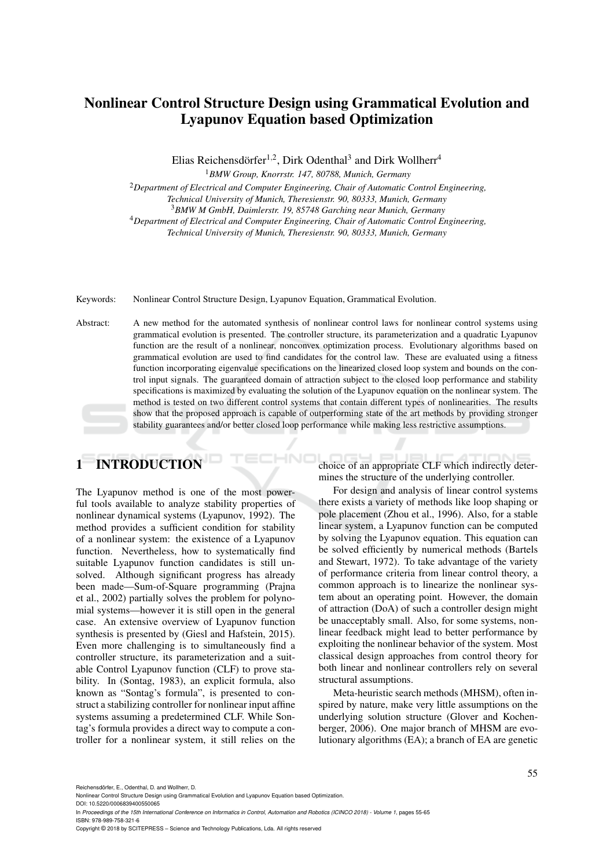## Nonlinear Control Structure Design using Grammatical Evolution and Lyapunov Equation based Optimization

Elias Reichensdörfer<sup>1,2</sup>, Dirk Odenthal<sup>3</sup> and Dirk Wollherr<sup>4</sup>

<sup>1</sup>*BMW Group, Knorrstr. 147, 80788, Munich, Germany*

<sup>2</sup>*Department of Electrical and Computer Engineering, Chair of Automatic Control Engineering,*

*Technical University of Munich, Theresienstr. 90, 80333, Munich, Germany*

<sup>3</sup>*BMW M GmbH, Daimlerstr. 19, 85748 Garching near Munich, Germany*

<sup>4</sup>*Department of Electrical and Computer Engineering, Chair of Automatic Control Engineering,*

*Technical University of Munich, Theresienstr. 90, 80333, Munich, Germany*

Keywords: Nonlinear Control Structure Design, Lyapunov Equation, Grammatical Evolution.

Abstract: A new method for the automated synthesis of nonlinear control laws for nonlinear control systems using grammatical evolution is presented. The controller structure, its parameterization and a quadratic Lyapunov function are the result of a nonlinear, nonconvex optimization process. Evolutionary algorithms based on grammatical evolution are used to find candidates for the control law. These are evaluated using a fitness function incorporating eigenvalue specifications on the linearized closed loop system and bounds on the control input signals. The guaranteed domain of attraction subject to the closed loop performance and stability specifications is maximized by evaluating the solution of the Lyapunov equation on the nonlinear system. The method is tested on two different control systems that contain different types of nonlinearities. The results show that the proposed approach is capable of outperforming state of the art methods by providing stronger stability guarantees and/or better closed loop performance while making less restrictive assumptions.

# 1 INTRODUCTION

The Lyapunov method is one of the most powerful tools available to analyze stability properties of nonlinear dynamical systems (Lyapunov, 1992). The method provides a sufficient condition for stability of a nonlinear system: the existence of a Lyapunov function. Nevertheless, how to systematically find suitable Lyapunov function candidates is still unsolved. Although significant progress has already been made—Sum-of-Square programming (Prajna et al., 2002) partially solves the problem for polynomial systems—however it is still open in the general case. An extensive overview of Lyapunov function synthesis is presented by (Giesl and Hafstein, 2015). Even more challenging is to simultaneously find a controller structure, its parameterization and a suitable Control Lyapunov function (CLF) to prove stability. In (Sontag, 1983), an explicit formula, also known as "Sontag's formula", is presented to construct a stabilizing controller for nonlinear input affine systems assuming a predetermined CLF. While Sontag's formula provides a direct way to compute a controller for a nonlinear system, it still relies on the

choice of an appropriate CLF which indirectly determines the structure of the underlying controller.

For design and analysis of linear control systems there exists a variety of methods like loop shaping or pole placement (Zhou et al., 1996). Also, for a stable linear system, a Lyapunov function can be computed by solving the Lyapunov equation. This equation can be solved efficiently by numerical methods (Bartels and Stewart, 1972). To take advantage of the variety of performance criteria from linear control theory, a common approach is to linearize the nonlinear system about an operating point. However, the domain of attraction (DoA) of such a controller design might be unacceptably small. Also, for some systems, nonlinear feedback might lead to better performance by exploiting the nonlinear behavior of the system. Most classical design approaches from control theory for both linear and nonlinear controllers rely on several structural assumptions.

Meta-heuristic search methods (MHSM), often inspired by nature, make very little assumptions on the underlying solution structure (Glover and Kochenberger, 2006). One major branch of MHSM are evolutionary algorithms (EA); a branch of EA are genetic

Reichensdörfer, E., Odenthal, D. and Wollherr, D.

Copyright © 2018 by SCITEPRESS – Science and Technology Publications, Lda. All rights reserved

Nonlinear Control Structure Design using Grammatical Evolution and Lyapunov Equation based Optimization. DOI: 10.5220/0006839400550065

In *Proceedings of the 15th International Conference on Informatics in Control, Automation and Robotics (ICINCO 2018) - Volume 1, pages 55-65* ISBN: 978-989-758-321-6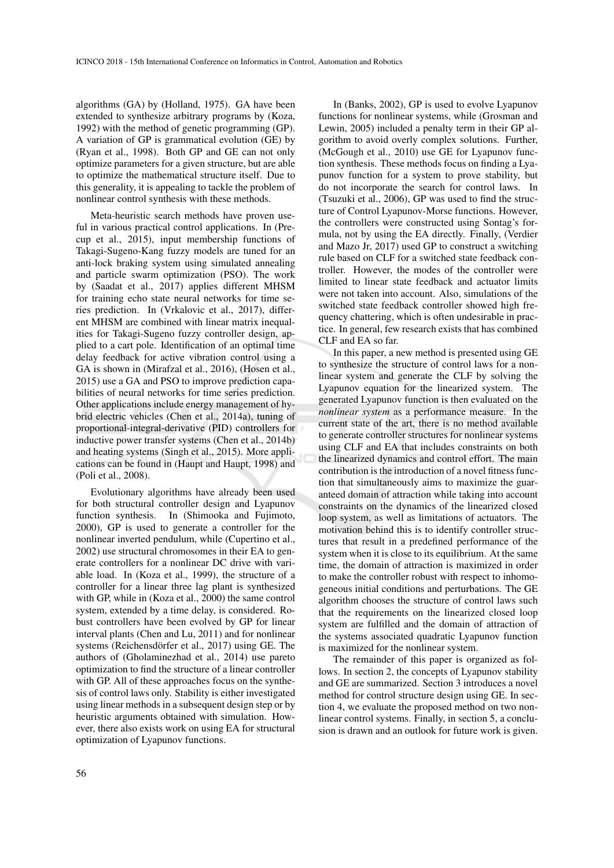algorithms (GA) by (Holland, 1975). GA have been extended to synthesize arbitrary programs by (Koza, 1992) with the method of genetic programming (GP). A variation of GP is grammatical evolution (GE) by (Ryan et al., 1998). Both GP and GE can not only optimize parameters for a given structure, but are able to optimize the mathematical structure itself. Due to this generality, it is appealing to tackle the problem of nonlinear control synthesis with these methods.

Meta-heuristic search methods have proven useful in various practical control applications. In (Precup et al., 2015), input membership functions of Takagi-Sugeno-Kang fuzzy models are tuned for an anti-lock braking system using simulated annealing and particle swarm optimization (PSO). The work by (Saadat et al., 2017) applies different MHSM for training echo state neural networks for time series prediction. In (Vrkalovic et al., 2017), different MHSM are combined with linear matrix inequalities for Takagi-Sugeno fuzzy controller design, applied to a cart pole. Identification of an optimal time delay feedback for active vibration control using a GA is shown in (Mirafzal et al., 2016), (Hosen et al., 2015) use a GA and PSO to improve prediction capabilities of neural networks for time series prediction. Other applications include energy management of hybrid electric vehicles (Chen et al., 2014a), tuning of proportional-integral-derivative (PID) controllers for inductive power transfer systems (Chen et al., 2014b) and heating systems (Singh et al., 2015). More applications can be found in (Haupt and Haupt, 1998) and (Poli et al., 2008).

Evolutionary algorithms have already been used for both structural controller design and Lyapunov function synthesis. In (Shimooka and Fujimoto, 2000), GP is used to generate a controller for the nonlinear inverted pendulum, while (Cupertino et al., 2002) use structural chromosomes in their EA to generate controllers for a nonlinear DC drive with variable load. In (Koza et al., 1999), the structure of a controller for a linear three lag plant is synthesized with GP, while in (Koza et al., 2000) the same control system, extended by a time delay, is considered. Robust controllers have been evolved by GP for linear interval plants (Chen and Lu, 2011) and for nonlinear systems (Reichensdörfer et al., 2017) using GE. The authors of (Gholaminezhad et al., 2014) use pareto optimization to find the structure of a linear controller with GP. All of these approaches focus on the synthesis of control laws only. Stability is either investigated using linear methods in a subsequent design step or by heuristic arguments obtained with simulation. However, there also exists work on using EA for structural optimization of Lyapunov functions.

In (Banks, 2002), GP is used to evolve Lyapunov functions for nonlinear systems, while (Grosman and Lewin, 2005) included a penalty term in their GP algorithm to avoid overly complex solutions. Further, (McGough et al., 2010) use GE for Lyapunov function synthesis. These methods focus on finding a Lyapunov function for a system to prove stability, but do not incorporate the search for control laws. In (Tsuzuki et al., 2006), GP was used to find the structure of Control Lyapunov-Morse functions. However, the controllers were constructed using Sontag's formula, not by using the EA directly. Finally, (Verdier and Mazo Jr, 2017) used GP to construct a switching rule based on CLF for a switched state feedback controller. However, the modes of the controller were limited to linear state feedback and actuator limits were not taken into account. Also, simulations of the switched state feedback controller showed high frequency chattering, which is often undesirable in practice. In general, few research exists that has combined CLF and EA so far.

In this paper, a new method is presented using GE to synthesize the structure of control laws for a nonlinear system and generate the CLF by solving the Lyapunov equation for the linearized system. The generated Lyapunov function is then evaluated on the *nonlinear system* as a performance measure. In the current state of the art, there is no method available to generate controller structures for nonlinear systems using CLF and EA that includes constraints on both the linearized dynamics and control effort. The main contribution is the introduction of a novel fitness function that simultaneously aims to maximize the guaranteed domain of attraction while taking into account constraints on the dynamics of the linearized closed loop system, as well as limitations of actuators. The motivation behind this is to identify controller structures that result in a predefined performance of the system when it is close to its equilibrium. At the same time, the domain of attraction is maximized in order to make the controller robust with respect to inhomogeneous initial conditions and perturbations. The GE algorithm chooses the structure of control laws such that the requirements on the linearized closed loop system are fulfilled and the domain of attraction of the systems associated quadratic Lyapunov function is maximized for the nonlinear system.

The remainder of this paper is organized as follows. In section 2, the concepts of Lyapunov stability and GE are summarized. Section 3 introduces a novel method for control structure design using GE. In section 4, we evaluate the proposed method on two nonlinear control systems. Finally, in section 5, a conclusion is drawn and an outlook for future work is given.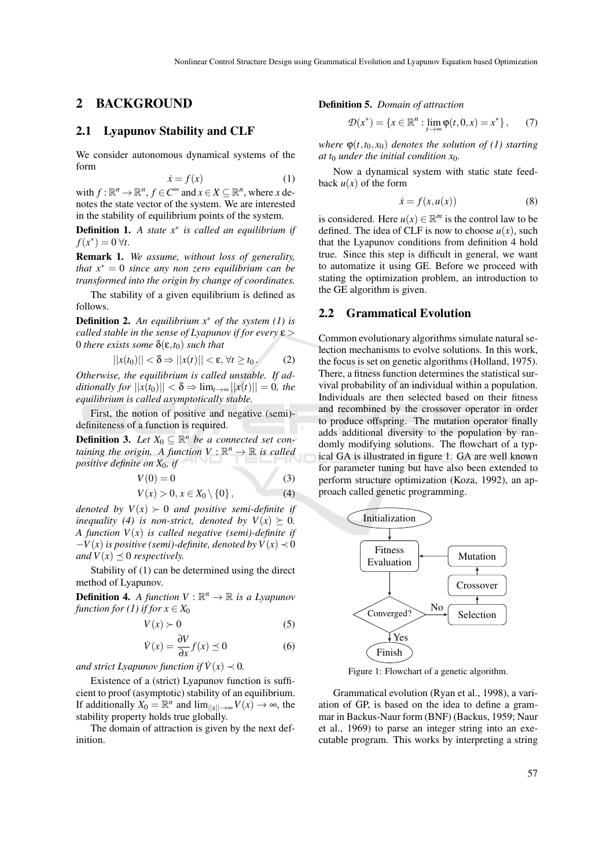#### 2 BACKGROUND

## 2.1 Lyapunov Stability and CLF

We consider autonomous dynamical systems of the form

$$
\dot{x} = f(x) \tag{1}
$$

with  $f: \mathbb{R}^n \to \mathbb{R}^n$ ,  $f \in C^{\infty}$  and  $x \in X \subseteq \mathbb{R}^n$ , where *x* denotes the state vector of the system. We are interested in the stability of equilibrium points of the system.

Definition 1. *A state x*∗ *is called an equilibrium if*  $f(x^*) = 0 \,\forall t.$ 

Remark 1. *We assume, without loss of generality, that x*∗ = 0 *since any non zero equilibrium can be transformed into the origin by change of coordinates.*

The stability of a given equilibrium is defined as follows.

Definition 2. *An equilibrium x*∗ *of the system (1) is called stable in the sense of Lyapunov if for every* ε > 0 *there exists some*  $\delta$ (**ε**,*t*<sub>0</sub>) *such that* 

$$
||x(t_0)|| < \delta \Rightarrow ||x(t)|| < \varepsilon, \forall t \ge t_0.
$$
 (2)

*Otherwise, the equilibrium is called unstable. If additionally for*  $||x(t_0)|| < \delta \Rightarrow \lim_{t \to \infty} ||x(t)|| = 0$ , the *equilibrium is called asymptotically stable.*

First, the notion of positive and negative (semi) definiteness of a function is required.

**Definition 3.** Let  $X_0 \subseteq \mathbb{R}^n$  be a connected set con*taining the origin.* A function  $V : \mathbb{R}^n \to \mathbb{R}$  is called *positive definite on X*0*, if*

$$
V(0) = 0 \tag{3}
$$

$$
V(x) > 0, x \in X_0 \setminus \{0\},\tag{4}
$$

*denoted by*  $V(x) \succ 0$  *and positive semi-definite if inequality (4) is non-strict, denoted by*  $V(x) \succeq 0$ *. A function V*(*x*) *is called negative (semi)-definite if*  $-V(x)$  *is positive (semi)-definite, denoted by*  $V(x) \prec 0$ *and*  $V(x) \leq 0$  *respectively.* 

Stability of (1) can be determined using the direct method of Lyapunov.

**Definition 4.** A function  $V : \mathbb{R}^n \to \mathbb{R}$  is a Lyapunov *function for (1) if for*  $x \in X_0$ 

$$
V(x) \succ 0 \tag{5}
$$

$$
\dot{V}(x) = \frac{\partial V}{\partial x} f(x) \preceq 0 \tag{6}
$$

*and strict Lyapunov function if*  $\dot{V}(x) \prec 0$ *.* 

Existence of a (strict) Lyapunov function is sufficient to proof (asymptotic) stability of an equilibrium. If additionally  $X_0 = \mathbb{R}^n$  and  $\lim_{\|x\| \to \infty} V(x) \to \infty$ , the stability property holds true globally.

The domain of attraction is given by the next definition.

Definition 5. *Domain of attraction*

$$
\mathcal{D}(x^*) = \{ x \in \mathbb{R}^n : \lim_{t \to \infty} \varphi(t, 0, x) = x^* \}, \qquad (7)
$$

*where*  $\Phi(t, t_0, x_0)$  *denotes the solution of (1) starting at t*<sup>0</sup> *under the initial condition x*0*.*

Now a dynamical system with static state feedback  $u(x)$  of the form

$$
\dot{x} = f(x, u(x))\tag{8}
$$

is considered. Here  $u(x) \in \mathbb{R}^m$  is the control law to be defined. The idea of CLF is now to choose  $u(x)$ , such that the Lyapunov conditions from definition 4 hold true. Since this step is difficult in general, we want to automatize it using GE. Before we proceed with stating the optimization problem, an introduction to the GE algorithm is given.

#### 2.2 Grammatical Evolution

Common evolutionary algorithms simulate natural selection mechanisms to evolve solutions. In this work, the focus is set on genetic algorithms (Holland, 1975). There, a fitness function determines the statistical survival probability of an individual within a population. Individuals are then selected based on their fitness and recombined by the crossover operator in order to produce offspring. The mutation operator finally adds additional diversity to the population by randomly modifying solutions. The flowchart of a typical GA is illustrated in figure 1. GA are well known for parameter tuning but have also been extended to perform structure optimization (Koza, 1992), an approach called genetic programming.



Figure 1: Flowchart of a genetic algorithm.

Grammatical evolution (Ryan et al., 1998), a variation of GP, is based on the idea to define a grammar in Backus-Naur form (BNF) (Backus, 1959; Naur et al., 1969) to parse an integer string into an executable program. This works by interpreting a string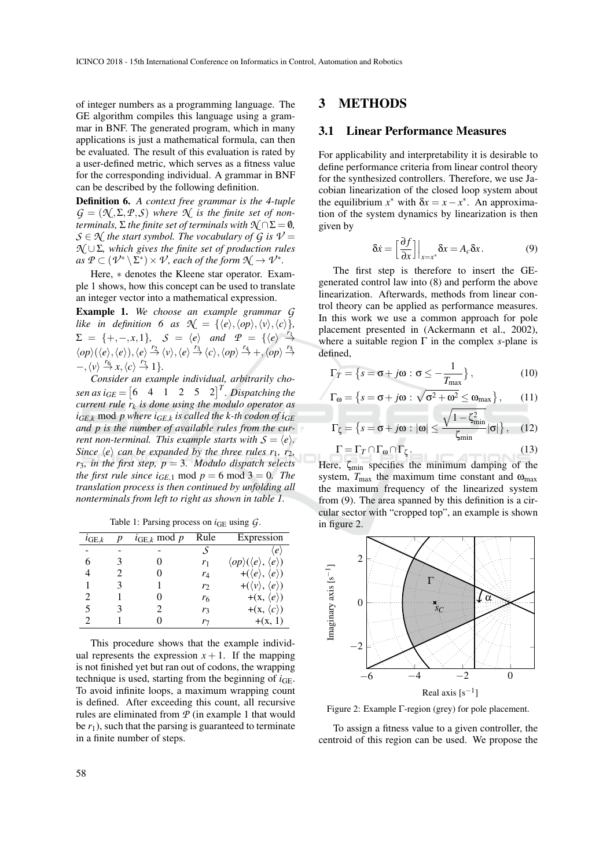of integer numbers as a programming language. The GE algorithm compiles this language using a grammar in BNF. The generated program, which in many applications is just a mathematical formula, can then be evaluated. The result of this evaluation is rated by a user-defined metric, which serves as a fitness value for the corresponding individual. A grammar in BNF can be described by the following definition.

Definition 6. *A context free grammar is the 4-tuple*  $G = (\mathcal{N}, \Sigma, \mathcal{P}, \mathcal{S})$  *where*  $\mathcal{N}$  *is the finite set of nonterminals,*  $\Sigma$  *the finite set of terminals with*  $\mathcal{N} \cap \Sigma = \emptyset$ *,*  $S \in \mathcal{N}$  *the start symbol. The vocabulary of G is*  $V =$ *N* ∪Σ*, which gives the finite set of production rules*  $as\ \mathcal{P}\subset (\mathcal{V}^*\setminus \Sigma^*)\times \mathcal{V}$ , each of the form  $\mathcal{N}\rightarrow \mathcal{V}^*$ .

Here, ∗ denotes the Kleene star operator. Example 1 shows, how this concept can be used to translate an integer vector into a mathematical expression.

Example 1. *We choose an example grammar G like* in definition 6 as  $\mathcal{N} = \{ \langle e \rangle, \langle op \rangle, \langle v \rangle, \langle c \rangle \},$  $\Sigma = \{+, -, x, 1\}, \quad S = \langle e \rangle \text{ and } P = \{\langle e \rangle \stackrel{r_1}{\rightarrow}$  $\langle op \rangle (\langle e \rangle, \langle e \rangle), \langle e \rangle \stackrel{r_2}{\rightarrow} \langle v \rangle, \langle e \rangle \stackrel{r_3}{\rightarrow} \langle c \rangle, \langle op \rangle \stackrel{r_4}{\rightarrow} +, \langle op \rangle \stackrel{r_5}{\rightarrow}$  $\langle v \rangle \stackrel{r_6}{\rightarrow} x, \langle c \rangle \stackrel{r_7}{\rightarrow} 1$ 

*Consider an example individual, arbitrarily chosen as*  $i_{GE} = \begin{bmatrix} 6 & 4 & 1 & 2 & 5 & 2 \end{bmatrix}^T$ . Dispatching the *current rule r<sup>k</sup> is done using the modulo operator as*  $i_{GE,k}$  mod *p* where  $i_{GE,k}$  *is called the k-th codon of*  $i_{GE}$ *and p is the number of available rules from the current non-terminal. This example starts with*  $S = \langle e \rangle$ *. Since*  $\langle e \rangle$  *can be expanded by the three rules r*<sub>1</sub>*, r*<sub>2</sub>*, r*3*, in the first step, p* = 3*. Modulo dispatch selects the first rule since i<sub>GE,1</sub> mod*  $p = 6$  *mod*  $3 = 0$ *. The translation process is then continued by unfolding all nonterminals from left to right as shown in table 1.*

Table 1: Parsing process on  $i_{GE}$  using  $G$ .

| Expression                                                 |
|------------------------------------------------------------|
| $\langle e \rangle$                                        |
| $\langle op \rangle(\langle e \rangle, \langle e \rangle)$ |
| +( $\langle e \rangle$ , $\langle e \rangle$ )             |
| $+(\langle v \rangle, \langle e \rangle)$                  |
| $+(x, \langle e \rangle)$                                  |
| + $(x, \langle c \rangle)$                                 |
| $+(x, 1)$                                                  |
|                                                            |

This procedure shows that the example individual represents the expression  $x + 1$ . If the mapping is not finished yet but ran out of codons, the wrapping technique is used, starting from the beginning of *i*GE. To avoid infinite loops, a maximum wrapping count is defined. After exceeding this count, all recursive rules are eliminated from *P* (in example 1 that would be  $r_1$ ), such that the parsing is guaranteed to terminate in a finite number of steps.

#### 3 METHODS

#### 3.1 Linear Performance Measures

For applicability and interpretability it is desirable to define performance criteria from linear control theory for the synthesized controllers. Therefore, we use Jacobian linearization of the closed loop system about the equilibrium  $x^*$  with  $\delta x = x - x^*$ . An approximation of the system dynamics by linearization is then given by

$$
\delta \dot{x} = \left[\frac{\partial f}{\partial x}\right] \Big|_{x=x^*} \delta x = A_c \delta x. \tag{9}
$$

The first step is therefore to insert the GEgenerated control law into (8) and perform the above linearization. Afterwards, methods from linear control theory can be applied as performance measures. In this work we use a common approach for pole placement presented in (Ackermann et al., 2002), where a suitable region Γ in the complex *s*-plane is defined,

$$
\Gamma_T = \left\{ s = \sigma + j\omega : \sigma \le -\frac{1}{T_{\text{max}}} \right\},\tag{10}
$$

$$
\Gamma_{\omega} = \left\{ s = \sigma + j\omega : \sqrt{\sigma^2 + \omega^2} \le \omega_{\text{max}} \right\},\qquad(11)
$$

$$
\Gamma_{\zeta} = \left\{ s = \sigma + j\omega \, : \, |\omega| \leq \frac{\sqrt{1 - \zeta_{\min}^2}}{\zeta_{\min}} |\sigma| \right\}, \quad (12)
$$

$$
\Gamma = \Gamma_T \cap \Gamma_{\omega} \cap \Gamma_{\zeta} \tag{13}
$$

Here,  $\zeta_{\text{min}}$  specifies the minimum damping of the system,  $T_{\text{max}}$  the maximum time constant and  $\omega_{\text{max}}$ the maximum frequency of the linearized system from (9). The area spanned by this definition is a circular sector with "cropped top", an example is shown in figure 2.



Figure 2: Example Γ-region (grey) for pole placement.

To assign a fitness value to a given controller, the centroid of this region can be used. We propose the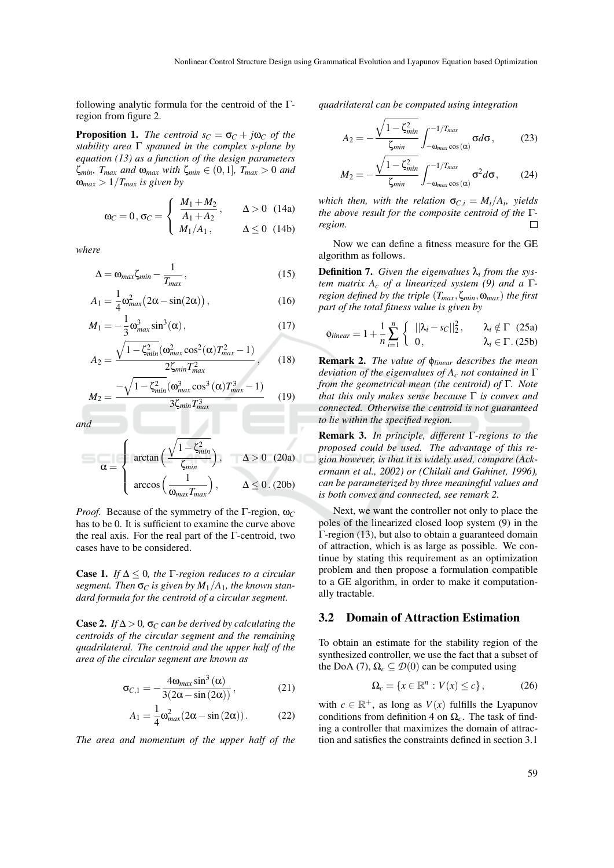following analytic formula for the centroid of the Γregion from figure 2.

**Proposition 1.** *The centroid*  $s_C = \sigma_C + j\omega_C$  *of the stability area* Γ *spanned in the complex s-plane by equation (13) as a function of the design parameters* ζ*min, Tmax and* ω*max with* ζ*min* ∈ (0,1]*, Tmax* > 0 *and*  $\omega_{max} > 1/T_{max}$  *is given by* 

$$
\omega_C = 0, \sigma_C = \begin{cases} \frac{M_1 + M_2}{A_1 + A_2}, & \Delta > 0 \ (14a) \\ M_1/A_1, & \Delta \le 0 \ (14b) \end{cases}
$$

*where*

$$
\Delta = \omega_{max} \zeta_{min} - \frac{1}{T_{max}}\,,\tag{15}
$$

$$
A_1 = \frac{1}{4} \omega_{max}^2 (2\alpha - \sin(2\alpha)), \qquad (16)
$$

$$
M_1 = -\frac{1}{3}\omega_{max}^3 \sin^3(\alpha), \qquad (17)
$$

$$
A_2 = \frac{\sqrt{1 - \zeta_{min}^2}(\omega_{max}^2 \cos^2(\alpha) T_{max}^2 - 1)}{2\zeta_{min} T_{max}^2},
$$
 (18)

$$
M_2 = \frac{-\sqrt{1 - \zeta_{min}^2(\omega_{max}^3 \cos^3(\alpha) T_{max}^3 - 1)}}{3\zeta_{min} T_{max}^3}
$$
 (19)

*and*

$$
\alpha = \begin{cases}\n\arctan\left(\frac{\sqrt{1 - \zeta_{min}^2}}{\zeta_{min}}\right), & \Delta > 0 \quad (20a) \\
\arccos\left(\frac{1}{\omega_{max}T_{max}}\right), & \Delta \le 0. \quad (20b)\n\end{cases}
$$

*Proof.* Because of the symmetry of the Γ-region,  $\omega_C$ has to be 0. It is sufficient to examine the curve above the real axis. For the real part of the Γ-centroid, two cases have to be considered.

**Case 1.** *If*  $\Delta \leq 0$ *, the*  $\Gamma$ -region reduces to a circular *segment.* Then  $\sigma_C$  *is given by*  $M_1/A_1$ *, the known standard formula for the centroid of a circular segment.*

Case 2. *If*  $\Delta > 0$ ,  $\sigma_C$  *can be derived by calculating the centroids of the circular segment and the remaining quadrilateral. The centroid and the upper half of the area of the circular segment are known as*

$$
\sigma_{C,1} = -\frac{4\omega_{max}\sin^3(\alpha)}{3(2\alpha - \sin(2\alpha))},
$$
\n(21)

$$
A_1 = \frac{1}{4} \omega_{max}^2 (2\alpha - \sin(2\alpha)).
$$
 (22)

*The area and momentum of the upper half of the*

*quadrilateral can be computed using integration*

$$
A_2 = -\frac{\sqrt{1 - \zeta_{min}^2}}{\zeta_{min}} \int_{-\omega_{max} \cos(\alpha)}^{-1/T_{max}} \sigma d\sigma, \qquad (23)
$$

$$
M_2 = -\frac{\sqrt{1-\zeta_{min}^2}}{\zeta_{min}} \int_{-\omega_{max}\cos(\alpha)}^{-1/T_{max}} \sigma^2 d\sigma, \qquad (24)
$$

*which then, with the relation*  $\sigma_{C,i} = M_i/A_i$ , yields *the above result for the composite centroid of the* Γ*region.*

Now we can define a fitness measure for the GE algorithm as follows.

Definition 7. *Given the eigenvalues* λ*<sup>i</sup> from the system matrix A<sup>c</sup> of a linearized system (9) and a* Γ*region defined by the triple* (*Tmax*,ζ*min*,ω*max*) *the first part of the total fitness value is given by*

$$
\phi_{linear} = 1 + \frac{1}{n} \sum_{i=1}^{n} \left\{ \begin{array}{ll} ||\lambda_i - s_C||_2^2, & \lambda_i \notin \Gamma \quad (25a) \\ 0, & \lambda_i \in \Gamma \quad (25b) \end{array} \right.
$$

Remark 2. *The value of* φ*linear describes the mean deviation of the eigenvalues of A<sup>c</sup> not contained in* Γ *from the geometrical mean (the centroid) of* Γ*. Note that this only makes sense because* Γ *is convex and connected. Otherwise the centroid is not guaranteed to lie within the specified region.*

Remark 3. *In principle, different* Γ*-regions to the proposed could be used. The advantage of this region however, is that it is widely used, compare (Ackermann et al., 2002) or (Chilali and Gahinet, 1996), can be parameterized by three meaningful values and is both convex and connected, see remark 2.*

Next, we want the controller not only to place the poles of the linearized closed loop system (9) in the Γ-region (13), but also to obtain a guaranteed domain of attraction, which is as large as possible. We continue by stating this requirement as an optimization problem and then propose a formulation compatible to a GE algorithm, in order to make it computationally tractable.

#### 3.2 Domain of Attraction Estimation

To obtain an estimate for the stability region of the synthesized controller, we use the fact that a subset of the DoA (7),  $\Omega_c \subseteq \mathcal{D}(0)$  can be computed using

$$
\Omega_c = \{x \in \mathbb{R}^n : V(x) \le c\},\tag{26}
$$

with  $c \in \mathbb{R}^+$ , as long as  $V(x)$  fulfills the Lyapunov conditions from definition 4 on  $\Omega_c$ . The task of finding a controller that maximizes the domain of attraction and satisfies the constraints defined in section 3.1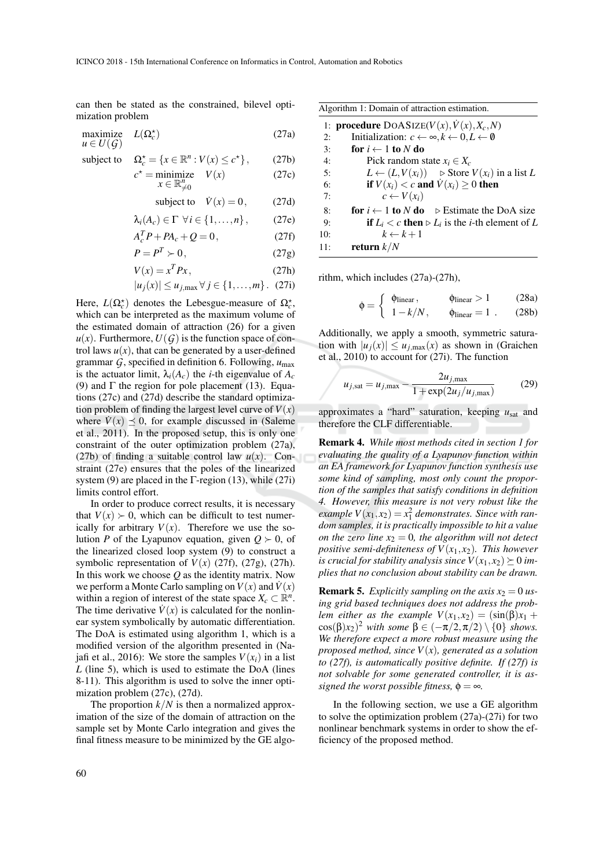can then be stated as the constrained, bilevel optimization problem

$$
\begin{array}{ll}\text{maximize} & L(\Omega_c^{\star})\\ u \in U(\mathcal{G}) \end{array} \tag{27a}
$$

*c*

subject to 
$$
\Omega_c^* = \{x \in \mathbb{R}^n : V(x) \le c^*\},
$$
 (27b)

$$
{}^{\star} = \underset{x \in \mathbb{R}_{\neq 0}^n}{\text{minimize}} \quad V(x) \tag{27c}
$$

subject to 
$$
\dot{V}(x) = 0
$$
, (27d)

$$
\lambda_i(A_c) \in \Gamma \ \forall i \in \{1, \ldots, n\}, \qquad (27e)
$$

$$
A_c^T P + P A_c + Q = 0, \qquad (27f)
$$

$$
P = P^T \succ 0, \tag{27g}
$$

$$
V(x) = x^T P x, \qquad (27h)
$$

 $|u_i(x)| \le u_i_{\text{max}}$  ∀  $j \in \{1, \ldots, m\}$ . (27i)

Here,  $L(\Omega_c^{\star})$  denotes the Lebesgue-measure of  $\Omega_c^{\star}$ , which can be interpreted as the maximum volume of the estimated domain of attraction (26) for a given  $u(x)$ . Furthermore,  $U(G)$  is the function space of control laws  $u(x)$ , that can be generated by a user-defined grammar *G*, specified in definition 6. Following, *u*max is the actuator limit,  $\lambda_i(A_c)$  the *i*-th eigenvalue of  $A_c$ (9) and  $\Gamma$  the region for pole placement (13). Equations (27c) and (27d) describe the standard optimization problem of finding the largest level curve of  $V(x)$ where  $\dot{V}(x) \preceq 0$ , for example discussed in (Saleme et al., 2011). In the proposed setup, this is only one constraint of the outer optimization problem (27a), (27b) of finding a suitable control law  $u(x)$ . Constraint (27e) ensures that the poles of the linearized system (9) are placed in the  $\Gamma$ -region (13), while (27i) limits control effort.

In order to produce correct results, it is necessary that  $V(x) > 0$ , which can be difficult to test numerically for arbitrary  $V(x)$ . Therefore we use the solution *P* of the Lyapunov equation, given  $Q \succ 0$ , of the linearized closed loop system (9) to construct a symbolic representation of  $V(x)$  (27f), (27g), (27h). In this work we choose *Q* as the identity matrix. Now we perform a Monte Carlo sampling on  $V(x)$  and  $\dot{V}(x)$ within a region of interest of the state space  $X_c \subset \mathbb{R}^n$ . The time derivative  $\dot{V}(x)$  is calculated for the nonlinear system symbolically by automatic differentiation. The DoA is estimated using algorithm 1, which is a modified version of the algorithm presented in (Najafi et al., 2016): We store the samples  $V(x_i)$  in a list *L* (line 5), which is used to estimate the DoA (lines 8-11). This algorithm is used to solve the inner optimization problem (27c), (27d).

The proportion  $k/N$  is then a normalized approximation of the size of the domain of attraction on the sample set by Monte Carlo integration and gives the final fitness measure to be minimized by the GE algo-

| Algorithm 1: Domain of attraction estimation.                                  |
|--------------------------------------------------------------------------------|
| 1: <b>procedure</b> DOASIZE( $V(x)$ , $\dot{V}(x)$ , $X_c$ , N)                |
| Initialization: $c \leftarrow \infty, k \leftarrow 0, L \leftarrow \emptyset$  |
| for $i \leftarrow 1$ to N do                                                   |
| Pick random state $x_i \in X_c$                                                |
| $L \leftarrow (L, V(x_i))$ $\triangleright$ Store $V(x_i)$ in a list L         |
| if $V(x_i) < c$ and $\dot{V}(x_i) \ge 0$ then                                  |
| $c \leftarrow V(x_i)$                                                          |
| <b>for</b> $i \leftarrow 1$ to N do $\triangleright$ Estimate the DoA size     |
| <b>if</b> $L_i < c$ then $\triangleright L_i$ is the <i>i</i> -th element of L |
| $k \leftarrow k+1$                                                             |
| return $k/N$                                                                   |
|                                                                                |

rithm, which includes (27a)-(27h),

$$
\phi = \begin{cases} \phi_{\text{linear}}, & \phi_{\text{linear}} > 1 \qquad (28a) \\ 1 - k/N, & \phi_{\text{linear}} = 1 \qquad (28b) \end{cases}
$$

Additionally, we apply a smooth, symmetric saturation with  $|u_j(x)| \le u_{j,\text{max}}(x)$  as shown in (Graichen et al., 2010) to account for (27i). The function

$$
u_{j, \text{sat}} = u_{j, \text{max}} - \frac{2u_{j, \text{max}}}{1 + \exp(2u_j/u_{j, \text{max}})}
$$
(29)

approximates a "hard" saturation, keeping *u*sat and therefore the CLF differentiable.

Remark 4. *While most methods cited in section 1 for evaluating the quality of a Lyapunov function within an EA framework for Lyapunov function synthesis use some kind of sampling, most only count the proportion of the samples that satisfy conditions in defnition 4. However, this measure is not very robust like the example*  $V(x_1, x_2) = x_1^2$  *demonstrates. Since with random samples, it is practically impossible to hit a value on the zero line*  $x_2 = 0$ *, the algorithm will not detect positive semi-definiteness of*  $V(x_1, x_2)$ *. This however is crucial for stability analysis since*  $V(x_1, x_2) \geq 0$  *implies that no conclusion about stability can be drawn.*

**Remark 5.** *Explicitly sampling on the axis*  $x_2 = 0$  *using grid based techniques does not address the problem either as the example*  $V(x_1, x_2) = (\sin(\beta)x_1 +$  $cos(\beta)x_2)^2$  *with some*  $\beta \in (-\pi/2, \pi/2) \setminus \{0\}$  *shows. We therefore expect a more robust measure using the proposed method, since V*(*x*)*, generated as a solution to (27f), is automatically positive definite. If (27f) is not solvable for some generated controller, it is assigned the worst possible fitness,*  $\phi = \infty$ *.* 

In the following section, we use a GE algorithm to solve the optimization problem (27a)-(27i) for two nonlinear benchmark systems in order to show the efficiency of the proposed method.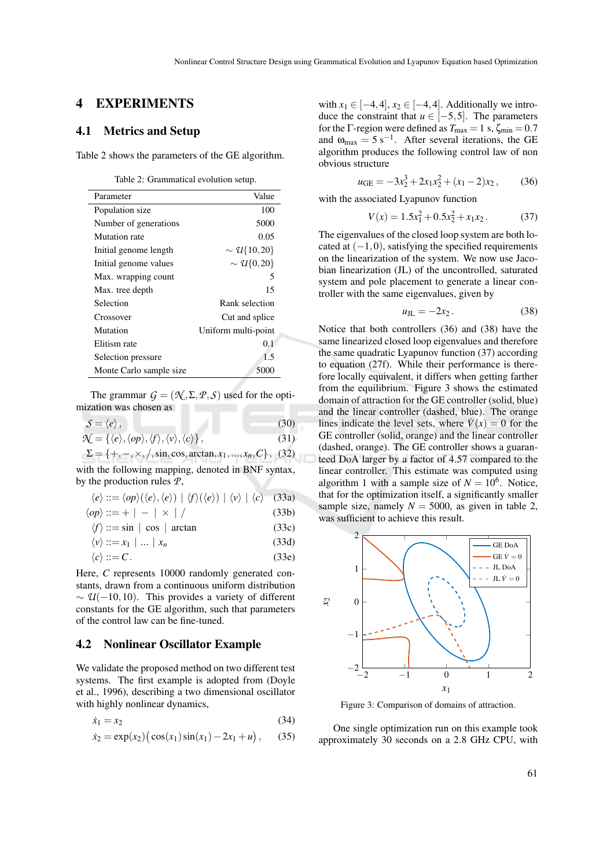## 4 EXPERIMENTS

## 4.1 Metrics and Setup

Table 2 shows the parameters of the GE algorithm.

Table 2: Grammatical evolution setup.

| Parameter               | Value                     |
|-------------------------|---------------------------|
| Population size         | 100                       |
| Number of generations   | 5000                      |
| Mutation rate           | 0.05                      |
| Initial genome length   | $\sim \mathcal{U}{10,20}$ |
| Initial genome values   | $\sim \mathcal{U}{0,20}$  |
| Max. wrapping count     | 5                         |
| Max. tree depth         | 15                        |
| Selection               | Rank selection            |
| Crossover               | Cut and splice            |
| Mutation                | Uniform multi-point       |
| Elitism rate            | 0.1                       |
| Selection pressure      | 1.5                       |
| Monte Carlo sample size | 5000                      |

The grammar  $G = (\mathcal{N}, \Sigma, \mathcal{P}, \mathcal{S})$  used for the optimization was chosen as

$$
S = \langle e \rangle, \n\mathcal{N} = \{ \langle e \rangle, \langle op \rangle, \langle f \rangle, \langle v \rangle, \langle c \rangle \},
$$
\n(30)\n(31)

$$
\Sigma = \{+, -, \times, /, \sin, \cos, \arctan, x_1, ..., x_n, C\}, (32)
$$

with the following mapping, denoted in BNF syntax, by the production rules *P*,

$$
\langle e \rangle ::= \langle op \rangle (\langle e \rangle, \langle e \rangle) | \langle f \rangle (\langle e \rangle) | \langle v \rangle | \langle c \rangle
$$
 (33a)

$$
\langle op \rangle ::= + \vert - \vert \times \vert / \tag{33b}
$$

$$
\langle f \rangle ::= \sin \mid \cos \mid \arctan \tag{33c}
$$

$$
\langle v \rangle ::= x_1 \mid \dots \mid x_n \tag{33d}
$$

$$
\langle c \rangle ::= C. \tag{33e}
$$

Here, *C* represents 10000 randomly generated constants, drawn from a continuous uniform distribution  $\sim \mathcal{U}(-10,10)$ . This provides a variety of different constants for the GE algorithm, such that parameters of the control law can be fine-tuned.

#### 4.2 Nonlinear Oscillator Example

We validate the proposed method on two different test systems. The first example is adopted from (Doyle et al., 1996), describing a two dimensional oscillator with highly nonlinear dynamics,

$$
\dot{x}_1 = x_2 \tag{34}
$$

$$
\dot{x}_2 = \exp(x_2) (\cos(x_1) \sin(x_1) - 2x_1 + u), \quad (35)
$$

with  $x_1 \in [-4, 4]$ ,  $x_2 \in [-4, 4]$ . Additionally we introduce the constraint that  $u \in [-5, 5]$ . The parameters for the Γ-region were defined as  $T_{\text{max}} = 1$  s,  $\zeta_{\text{min}} = 0.7$ and  $\omega_{\text{max}} = 5 \text{ s}^{-1}$ . After several iterations, the GE algorithm produces the following control law of non obvious structure

$$
u_{\rm GE} = -3x_2^3 + 2x_1x_2^2 + (x_1 - 2)x_2, \qquad (36)
$$

with the associated Lyapunov function

$$
V(x) = 1.5x_1^2 + 0.5x_2^2 + x_1x_2.
$$
 (37)

The eigenvalues of the closed loop system are both located at  $(-1,0)$ , satisfying the specified requirements on the linearization of the system. We now use Jacobian linearization (JL) of the uncontrolled, saturated system and pole placement to generate a linear controller with the same eigenvalues, given by

$$
u_{\text{JL}} = -2x_2. \tag{38}
$$

Notice that both controllers (36) and (38) have the same linearized closed loop eigenvalues and therefore the same quadratic Lyapunov function (37) according to equation (27f). While their performance is therefore locally equivalent, it differs when getting farther from the equilibrium. Figure 3 shows the estimated domain of attraction for the GE controller (solid, blue) and the linear controller (dashed, blue). The orange lines indicate the level sets, where  $\dot{V}(x) = 0$  for the GE controller (solid, orange) and the linear controller (dashed, orange). The GE controller shows a guaranteed DoA larger by a factor of 4.57 compared to the linear controller. This estimate was computed using algorithm 1 with a sample size of  $N = 10^6$ . Notice, that for the optimization itself, a significantly smaller sample size, namely  $N = 5000$ , as given in table 2, was sufficient to achieve this result.



Figure 3: Comparison of domains of attraction.

One single optimization run on this example took approximately 30 seconds on a 2.8 GHz CPU, with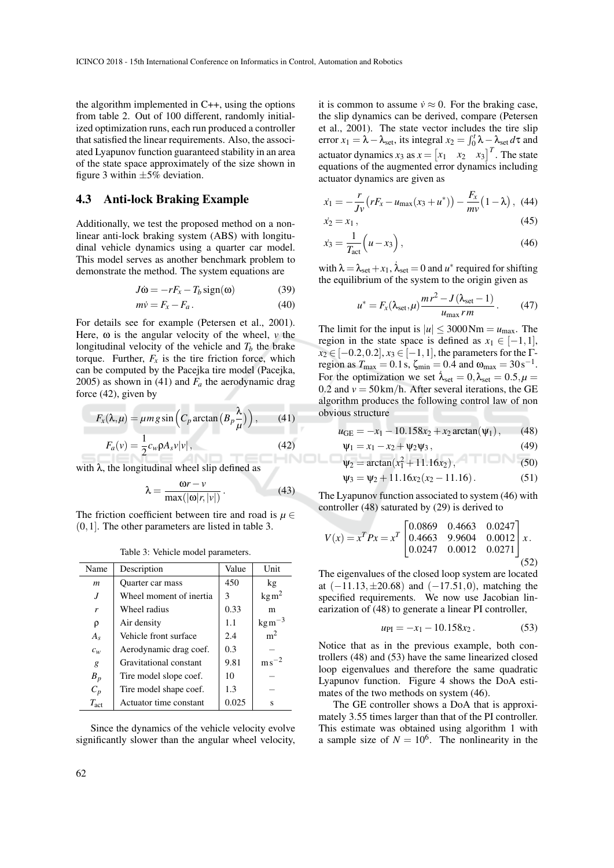the algorithm implemented in C++, using the options from table 2. Out of 100 different, randomly initialized optimization runs, each run produced a controller that satisfied the linear requirements. Also, the associated Lyapunov function guaranteed stability in an area of the state space approximately of the size shown in figure 3 within  $\pm 5\%$  deviation.

#### 4.3 Anti-lock Braking Example

Additionally, we test the proposed method on a nonlinear anti-lock braking system (ABS) with longitudinal vehicle dynamics using a quarter car model. This model serves as another benchmark problem to demonstrate the method. The system equations are

$$
J\dot{\omega} = -rF_x - T_b \text{sign}(\omega) \tag{39}
$$

$$
m\dot{v} = F_x - F_a. \tag{40}
$$

For details see for example (Petersen et al., 2001). Here,  $\omega$  is the angular velocity of the wheel,  $\nu$  the longitudinal velocity of the vehicle and  $T<sub>b</sub>$  the brake torque. Further,  $F_x$  is the tire friction force, which can be computed by the Pacejka tire model (Pacejka, 2005) as shown in (41) and  $F_a$  the aerodynamic drag force (42), given by

$$
F_x(\lambda, \mu) = \mu mg \sin\left(C_p \arctan\left(B_p \frac{\lambda}{\mu}\right)\right),\qquad(41)
$$

$$
F_a(\nu) = \frac{1}{2} c_w \rho A_s \nu |\nu|,\qquad(42)
$$

with  $\lambda$ , the longitudinal wheel slip defined as

$$
\lambda = \frac{\omega r - v}{\max(|\omega| r, |v|)}.
$$
 (43)

The friction coefficient between tire and road is  $\mu \in$ (0,1]. The other parameters are listed in table 3.

Table 3: Vehicle model parameters.

| Name             | Description             | Value | Unit               |
|------------------|-------------------------|-------|--------------------|
| $\boldsymbol{m}$ | Quarter car mass        | 450   | kg                 |
|                  | Wheel moment of inertia | 3     | $\text{kg m}^2$    |
| r                | Wheel radius            | 0.33  | m                  |
| ρ                | Air density             | 1.1   | $\text{kg m}^{-3}$ |
| $A_{\rm s}$      | Vehicle front surface   | 2.4   | m <sup>2</sup>     |
| $c_w$            | Aerodynamic drag coef.  | 0.3   |                    |
| g                | Gravitational constant  | 9.81  | m <sub>s</sub>     |
| $B_p$            | Tire model slope coef.  | 10    |                    |
| $C_p$            | Tire model shape coef.  | 1.3   |                    |
| $T_{\rm act}$    | Actuator time constant  | 0.025 | S                  |

Since the dynamics of the vehicle velocity evolve significantly slower than the angular wheel velocity,

it is common to assume  $\dot{v} \approx 0$ . For the braking case, the slip dynamics can be derived, compare (Petersen et al., 2001). The state vector includes the tire slip error  $x_1 = \lambda - \lambda_{\text{set}}$ , its integral  $x_2 = \int_0^t \lambda - \lambda_{\text{set}} d\tau$  and actuator dynamics  $x_3$  as  $x = \begin{bmatrix} x_1 & x_2 & x_3 \end{bmatrix}^T$ . The state equations of the augmented error dynamics including actuator dynamics are given as

$$
\dot{x}_1 = -\frac{r}{Jv} \left( rF_x - u_{\text{max}}(x_3 + u^*) \right) - \frac{F_x}{mv} \left( 1 - \lambda \right), \tag{44}
$$

$$
\dot{x}_2 = x_1,\tag{45}
$$

$$
\dot{x}_3 = \frac{1}{T_{\text{act}}} \left( u - x_3 \right),\tag{46}
$$

with  $\lambda = \lambda_{\text{set}} + x_1$ ,  $\dot{\lambda}_{\text{set}} = 0$  and  $u^*$  required for shifting the equilibrium of the system to the origin given as

$$
u^* = F_x(\lambda_{\text{set}}, \mu) \frac{mr^2 - J(\lambda_{\text{set}} - 1)}{u_{\text{max}}rm}.
$$
 (47)

The limit for the input is  $|u| \leq 3000 \text{Nm} = u_{\text{max}}$ . The region in the state space is defined as  $x_1 \in [-1,1]$ ,  $x_2 \in [-0.2, 0.2], x_3 \in [-1, 1]$ , the parameters for the Γregion as  $T_{\text{max}} = 0.1 \text{ s}$ ,  $\zeta_{\text{min}} = 0.4$  and  $\omega_{\text{max}} = 30 \text{ s}^{-1}$ . For the optimization we set  $\lambda_{\text{set}} = 0, \lambda_{\text{set}} = 0.5, \mu =$ 0.2 and  $v = 50 \text{ km/h}$ . After several iterations, the GE algorithm produces the following control law of non obvious structure

$$
u_{GE} = -x_1 - 10.158x_2 + x_2 \arctan(\psi_1), \qquad (48)
$$

$$
\Psi_1 = x_1 - x_2 + \Psi_2 \Psi_3, \tag{49}
$$

$$
\Psi_2 = \arctan(x_1^2 + 11.16x_2), \tag{50}
$$

$$
\Psi_3 = \Psi_2 + 11.16x_2(x_2 - 11.16). \tag{51}
$$

The Lyapunov function associated to system (46) with controller (48) saturated by (29) is derived to

$$
V(x) = xT P x = xT \begin{bmatrix} 0.0869 & 0.4663 & 0.0247 \\ 0.4663 & 9.9604 & 0.0012 \\ 0.0247 & 0.0012 & 0.0271 \end{bmatrix} x.
$$
\n(52)

The eigenvalues of the closed loop system are located at  $(-11.13, \pm 20.68)$  and  $(-17.51, 0)$ , matching the specified requirements. We now use Jacobian linearization of (48) to generate a linear PI controller,

$$
u_{\rm PI} = -x_1 - 10.158x_2. \tag{53}
$$

Notice that as in the previous example, both controllers (48) and (53) have the same linearized closed loop eigenvalues and therefore the same quadratic Lyapunov function. Figure 4 shows the DoA estimates of the two methods on system (46).

The GE controller shows a DoA that is approximately 3.55 times larger than that of the PI controller. This estimate was obtained using algorithm 1 with a sample size of  $N = 10^6$ . The nonlinearity in the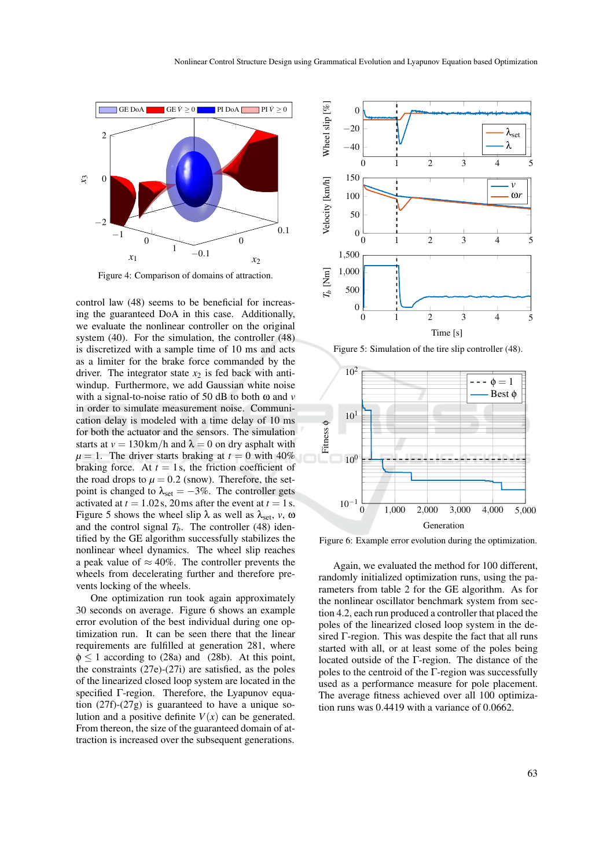

Figure 4: Comparison of domains of attraction.

control law (48) seems to be beneficial for increasing the guaranteed DoA in this case. Additionally, we evaluate the nonlinear controller on the original system (40). For the simulation, the controller (48) is discretized with a sample time of 10 ms and acts as a limiter for the brake force commanded by the driver. The integrator state  $x_2$  is fed back with antiwindup. Furthermore, we add Gaussian white noise with a signal-to-noise ratio of 50 dB to both ω and *v* in order to simulate measurement noise. Communication delay is modeled with a time delay of 10 ms for both the actuator and the sensors. The simulation starts at  $v = 130 \text{ km/h}$  and  $\lambda = 0$  on dry asphalt with  $\mu = 1$ . The driver starts braking at  $t = 0$  with 40% braking force. At  $t = 1$ s, the friction coefficient of the road drops to  $\mu = 0.2$  (snow). Therefore, the setpoint is changed to  $\lambda_{\text{set}} = -3\%$ . The controller gets activated at  $t = 1.02$  s, 20 ms after the event at  $t = 1$  s. Figure 5 shows the wheel slip  $\lambda$  as well as  $\lambda_{\text{set}}$ ,  $v$ ,  $\omega$ and the control signal  $T_b$ . The controller (48) identified by the GE algorithm successfully stabilizes the nonlinear wheel dynamics. The wheel slip reaches a peak value of  $\approx 40\%$ . The controller prevents the wheels from decelerating further and therefore prevents locking of the wheels.

One optimization run took again approximately 30 seconds on average. Figure 6 shows an example error evolution of the best individual during one optimization run. It can be seen there that the linear requirements are fulfilled at generation 281, where  $\phi \le 1$  according to (28a) and (28b). At this point, the constraints (27e)-(27i) are satisfied, as the poles of the linearized closed loop system are located in the specified Γ-region. Therefore, the Lyapunov equation (27f)-(27g) is guaranteed to have a unique solution and a positive definite  $V(x)$  can be generated. From thereon, the size of the guaranteed domain of attraction is increased over the subsequent generations.



Figure 5: Simulation of the tire slip controller (48).



Figure 6: Example error evolution during the optimization.

Again, we evaluated the method for 100 different, randomly initialized optimization runs, using the parameters from table 2 for the GE algorithm. As for the nonlinear oscillator benchmark system from section 4.2, each run produced a controller that placed the poles of the linearized closed loop system in the desired Γ-region. This was despite the fact that all runs started with all, or at least some of the poles being located outside of the Γ-region. The distance of the poles to the centroid of the Γ-region was successfully used as a performance measure for pole placement. The average fitness achieved over all 100 optimization runs was 0.4419 with a variance of 0.0662.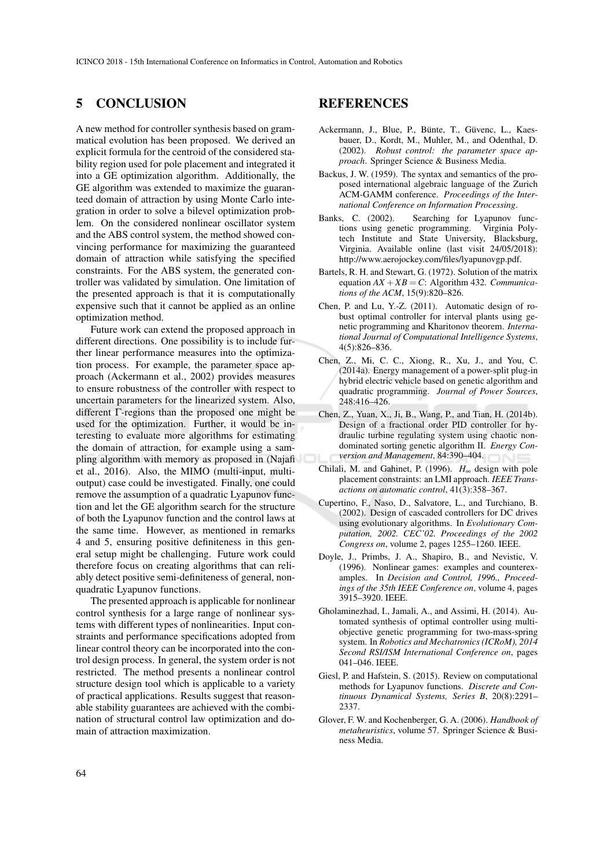## 5 CONCLUSION

A new method for controller synthesis based on grammatical evolution has been proposed. We derived an explicit formula for the centroid of the considered stability region used for pole placement and integrated it into a GE optimization algorithm. Additionally, the GE algorithm was extended to maximize the guaranteed domain of attraction by using Monte Carlo integration in order to solve a bilevel optimization problem. On the considered nonlinear oscillator system and the ABS control system, the method showed convincing performance for maximizing the guaranteed domain of attraction while satisfying the specified constraints. For the ABS system, the generated controller was validated by simulation. One limitation of the presented approach is that it is computationally expensive such that it cannot be applied as an online optimization method.

Future work can extend the proposed approach in different directions. One possibility is to include further linear performance measures into the optimization process. For example, the parameter space approach (Ackermann et al., 2002) provides measures to ensure robustness of the controller with respect to uncertain parameters for the linearized system. Also, different Γ-regions than the proposed one might be used for the optimization. Further, it would be interesting to evaluate more algorithms for estimating the domain of attraction, for example using a sampling algorithm with memory as proposed in (Najafi et al., 2016). Also, the MIMO (multi-input, multioutput) case could be investigated. Finally, one could remove the assumption of a quadratic Lyapunov function and let the GE algorithm search for the structure of both the Lyapunov function and the control laws at the same time. However, as mentioned in remarks 4 and 5, ensuring positive definiteness in this general setup might be challenging. Future work could therefore focus on creating algorithms that can reliably detect positive semi-definiteness of general, nonquadratic Lyapunov functions.

The presented approach is applicable for nonlinear control synthesis for a large range of nonlinear systems with different types of nonlinearities. Input constraints and performance specifications adopted from linear control theory can be incorporated into the control design process. In general, the system order is not restricted. The method presents a nonlinear control structure design tool which is applicable to a variety of practical applications. Results suggest that reasonable stability guarantees are achieved with the combination of structural control law optimization and domain of attraction maximization.

## REFERENCES

- Ackermann, J., Blue, P., Bünte, T., Güvenc, L., Kaesbauer, D., Kordt, M., Muhler, M., and Odenthal, D. (2002). *Robust control: the parameter space approach*. Springer Science & Business Media.
- Backus, J. W. (1959). The syntax and semantics of the proposed international algebraic language of the Zurich ACM-GAMM conference. *Proceedings of the International Conference on Information Processing*.
- Banks, C. (2002). Searching for Lyapunov functions using genetic programming. Virginia Polytech Institute and State University, Blacksburg, Virginia. Available online (last visit 24/05/2018): http://www.aerojockey.com/files/lyapunovgp.pdf.
- Bartels, R. H. and Stewart, G. (1972). Solution of the matrix equation  $AX + XB = C$ : Algorithm 432. *Communications of the ACM*, 15(9):820–826.
- Chen, P. and Lu, Y.-Z. (2011). Automatic design of robust optimal controller for interval plants using genetic programming and Kharitonov theorem. *International Journal of Computational Intelligence Systems*, 4(5):826–836.
- Chen, Z., Mi, C. C., Xiong, R., Xu, J., and You, C. (2014a). Energy management of a power-split plug-in hybrid electric vehicle based on genetic algorithm and quadratic programming. *Journal of Power Sources*, 248:416–426.
- Chen, Z., Yuan, X., Ji, B., Wang, P., and Tian, H. (2014b). Design of a fractional order PID controller for hydraulic turbine regulating system using chaotic nondominated sorting genetic algorithm II. *Energy Conversion and Management*, 84:390–404.
- Chilali, M. and Gahinet, P. (1996). *H*∞ design with pole placement constraints: an LMI approach. *IEEE Transactions on automatic control*, 41(3):358–367.
- Cupertino, F., Naso, D., Salvatore, L., and Turchiano, B. (2002). Design of cascaded controllers for DC drives using evolutionary algorithms. In *Evolutionary Computation, 2002. CEC'02. Proceedings of the 2002 Congress on*, volume 2, pages 1255–1260. IEEE.
- Doyle, J., Primbs, J. A., Shapiro, B., and Nevistic, V. (1996). Nonlinear games: examples and counterexamples. In *Decision and Control, 1996., Proceedings of the 35th IEEE Conference on*, volume 4, pages 3915–3920. IEEE.
- Gholaminezhad, I., Jamali, A., and Assimi, H. (2014). Automated synthesis of optimal controller using multiobjective genetic programming for two-mass-spring system. In *Robotics and Mechatronics (ICRoM), 2014 Second RSI/ISM International Conference on*, pages 041–046. IEEE.
- Giesl, P. and Hafstein, S. (2015). Review on computational methods for Lyapunov functions. *Discrete and Continuous Dynamical Systems, Series B*, 20(8):2291– 2337.
- Glover, F. W. and Kochenberger, G. A. (2006). *Handbook of metaheuristics*, volume 57. Springer Science & Business Media.